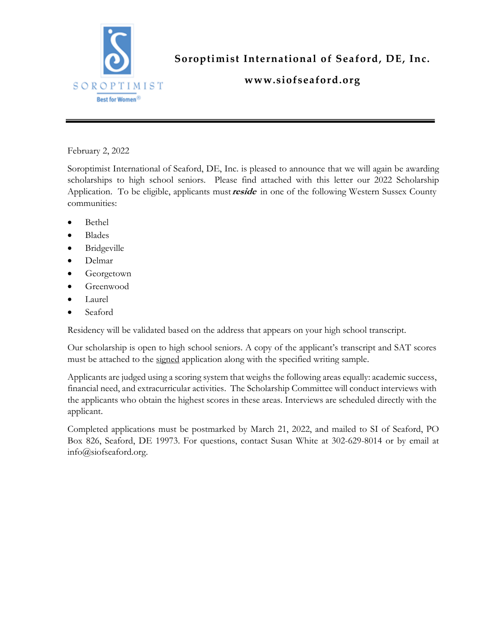

**Soroptimist International of Seaford, DE, Inc.**

**www.siofseaford.org**

February 2, 2022

Soroptimist International of Seaford, DE, Inc. is pleased to announce that we will again be awarding scholarships to high school seniors. Please find attached with this letter our 2022 Scholarship Application. To be eligible, applicants must **reside** in one of the following Western Sussex County communities:

- Bethel
- Blades
- **Bridgeville**
- Delmar
- Georgetown
- Greenwood
- Laurel
- Seaford

Residency will be validated based on the address that appears on your high school transcript.

Our scholarship is open to high school seniors. A copy of the applicant's transcript and SAT scores must be attached to the signed application along with the specified writing sample.

Applicants are judged using a scoring system that weighs the following areas equally: academic success, financial need, and extracurricular activities. The Scholarship Committee will conduct interviews with the applicants who obtain the highest scores in these areas. Interviews are scheduled directly with the applicant.

Completed applications must be postmarked by March 21, 2022, and mailed to SI of Seaford, PO Box 826, Seaford, DE 19973. For questions, contact Susan White at 302-629-8014 or by email at info@siofseaford.org.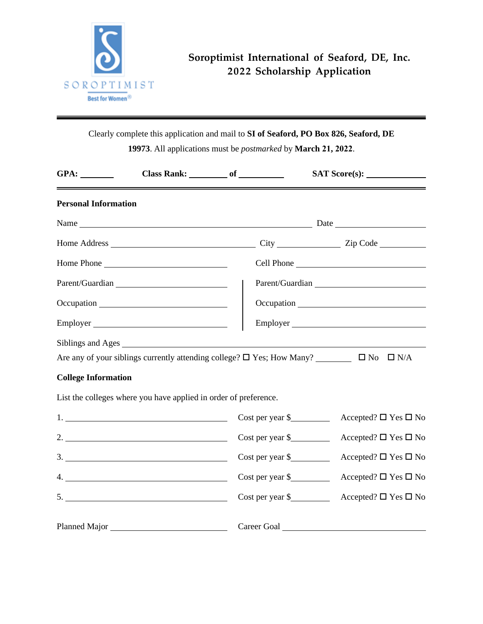

Clearly complete this application and mail to **SI of Seaford, PO Box 826, Seaford, DE** 

**19973**. All applications must be *postmarked* by **March 21, 2022**.

|                             | Class Rank: of of the contract of the contract of the contract of the contract of the contract of the contract of the contract of the contract of the contract of the contract of the contract of the contract of the contract |                       |                    | SAT Score(s):                        |  |
|-----------------------------|--------------------------------------------------------------------------------------------------------------------------------------------------------------------------------------------------------------------------------|-----------------------|--------------------|--------------------------------------|--|
| <b>Personal Information</b> |                                                                                                                                                                                                                                |                       |                    |                                      |  |
|                             |                                                                                                                                                                                                                                |                       |                    |                                      |  |
|                             |                                                                                                                                                                                                                                |                       |                    |                                      |  |
|                             | Home Phone                                                                                                                                                                                                                     |                       |                    | Cell Phone                           |  |
|                             | Parent/Guardian                                                                                                                                                                                                                |                       | Parent/Guardian    |                                      |  |
|                             |                                                                                                                                                                                                                                |                       |                    |                                      |  |
|                             | Employer                                                                                                                                                                                                                       |                       | Employer           |                                      |  |
|                             |                                                                                                                                                                                                                                |                       |                    |                                      |  |
|                             | Are any of your siblings currently attending college? $\Box$ Yes; How Many? $\Box$ No $\Box$ N/A                                                                                                                               |                       |                    |                                      |  |
| <b>College Information</b>  |                                                                                                                                                                                                                                |                       |                    |                                      |  |
|                             | List the colleges where you have applied in order of preference.                                                                                                                                                               |                       |                    |                                      |  |
|                             | $1.$ Cost per year \$                                                                                                                                                                                                          |                       |                    | Accepted? $\square$ Yes $\square$ No |  |
|                             |                                                                                                                                                                                                                                | $2.$ Cost per year \$ |                    | Accepted? $\square$ Yes $\square$ No |  |
|                             |                                                                                                                                                                                                                                |                       | $Cost per year$ \$ | Accepted? $\square$ Yes $\square$ No |  |
|                             | $4.$ Cost per year \$                                                                                                                                                                                                          |                       |                    | Accepted? $\square$ Yes $\square$ No |  |
|                             | $5.$ $\overline{\phantom{a}}$                                                                                                                                                                                                  |                       | $Cost per year$ \$ | Accepted? $\square$ Yes $\square$ No |  |
|                             |                                                                                                                                                                                                                                |                       |                    |                                      |  |